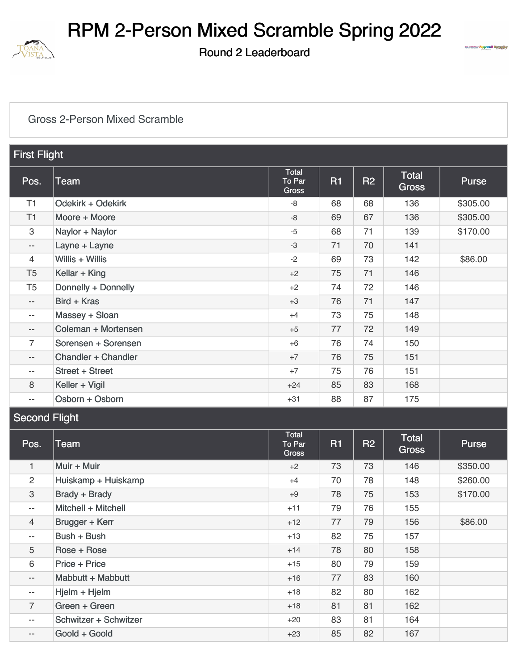

Round 2 Leaderboard



#### [Gross 2-Person Mixed Scramble](https://static.golfgenius.com/v2tournaments/8480257566113319551?called_from=&round_index=2)

| <b>First Flight</b>      |                     |                                 |           |                |                              |          |
|--------------------------|---------------------|---------------------------------|-----------|----------------|------------------------------|----------|
| Pos.                     | <b>Team</b>         | Total<br>To Par<br><b>Gross</b> | <b>R1</b> | R <sub>2</sub> | <b>Total</b><br><b>Gross</b> | Purse    |
| T1                       | Odekirk + Odekirk   | -8                              | 68        | 68             | 136                          | \$305.00 |
| T1                       | Moore + Moore       | -8                              | 69        | 67             | 136                          | \$305.00 |
| 3                        | Naylor + Naylor     | $-5$                            | 68        | 71             | 139                          | \$170.00 |
| $-\, -$                  | Layne + Layne       | $-3$                            | 71        | 70             | 141                          |          |
| 4                        | Willis + Willis     | $-2$                            | 69        | 73             | 142                          | \$86.00  |
| T <sub>5</sub>           | Kellar + King       | $+2$                            | 75        | 71             | 146                          |          |
| T <sub>5</sub>           | Donnelly + Donnelly | $+2$                            | 74        | 72             | 146                          |          |
| $\qquad \qquad -$        | Bird + Kras         | $+3$                            | 76        | 71             | 147                          |          |
| $\qquad \qquad -$        | Massey + Sloan      | $+4$                            | 73        | 75             | 148                          |          |
| $\overline{\phantom{a}}$ | Coleman + Mortensen | $+5$                            | 77        | 72             | 149                          |          |
| $\overline{7}$           | Sorensen + Sorensen | $+6$                            | 76        | 74             | 150                          |          |
| $- -$                    | Chandler + Chandler | $+7$                            | 76        | 75             | 151                          |          |
| $- -$                    | Street + Street     | $+7$                            | 75        | 76             | 151                          |          |
| 8                        | Keller + Vigil      | $+24$                           | 85        | 83             | 168                          |          |
| $- -$                    | Osborn + Osborn     | $+31$                           | 88        | 87             | 175                          |          |

### Second Flight

|                   |                       | <b>Total</b>    |           |                |                              |              |
|-------------------|-----------------------|-----------------|-----------|----------------|------------------------------|--------------|
| Pos.              | Team                  | To Par<br>Gross | <b>R1</b> | R <sub>2</sub> | <b>Total</b><br><b>Gross</b> | <b>Purse</b> |
| $\mathbf{1}$      | Muir + Muir           | $+2$            | 73        | 73             | 146                          | \$350.00     |
| 2                 | Huiskamp + Huiskamp   | $+4$            | 70        | 78             | 148                          | \$260.00     |
| 3                 | Brady + Brady         | $+9$            | 78        | 75             | 153                          | \$170.00     |
| $--$              | Mitchell + Mitchell   | $+11$           | 79        | 76             | 155                          |              |
| $\overline{4}$    | Brugger + Kerr        | $+12$           | 77        | 79             | 156                          | \$86.00      |
| $- -$             | Bush + Bush           | $+13$           | 82        | 75             | 157                          |              |
| 5                 | Rose + Rose           | $+14$           | 78        | 80             | 158                          |              |
| 6                 | Price + Price         | $+15$           | 80        | 79             | 159                          |              |
| $\qquad \qquad -$ | Mabbutt + Mabbutt     | $+16$           | 77        | 83             | 160                          |              |
| $- -$             | Hjelm + Hjelm         | $+18$           | 82        | 80             | 162                          |              |
| $\overline{7}$    | Green + Green         | $+18$           | 81        | 81             | 162                          |              |
| $- -$             | Schwitzer + Schwitzer | $+20$           | 83        | 81             | 164                          |              |
| $\qquad \qquad -$ | Goold + Goold         | $+23$           | 85        | 82             | 167                          |              |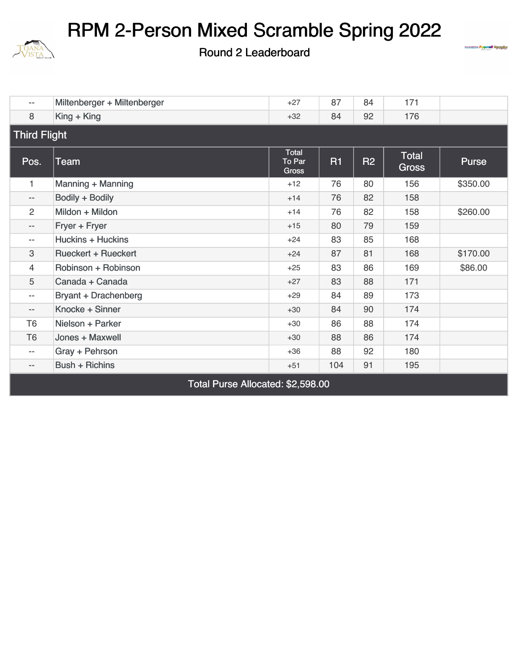

Round 2 Leaderboard



| $-$                      | Miltenberger + Miltenberger | $+27$                                  | 87        | 84        | 171                   |          |  |  |
|--------------------------|-----------------------------|----------------------------------------|-----------|-----------|-----------------------|----------|--|--|
| 8                        | $King + King$               | $+32$                                  | 84        | 92        | 176                   |          |  |  |
| <b>Third Flight</b>      |                             |                                        |           |           |                       |          |  |  |
| Pos.                     | Team                        | Total<br><b>To Par</b><br><b>Gross</b> | <b>R1</b> | <b>R2</b> | Total<br><b>Gross</b> | Purse    |  |  |
| $\mathbf{1}$             | Manning + Manning           | $+12$                                  | 76        | 80        | 156                   | \$350.00 |  |  |
| $\overline{\phantom{a}}$ | Bodily + Bodily             | $+14$                                  | 76        | 82        | 158                   |          |  |  |
| $\overline{2}$           | Mildon + Mildon             | $+14$                                  | 76        | 82        | 158                   | \$260.00 |  |  |
| $\qquad \qquad -$        | Fryer + Fryer               | $+15$                                  | 80        | 79        | 159                   |          |  |  |
| $\overline{\phantom{m}}$ | Huckins + Huckins           | $+24$                                  | 83        | 85        | 168                   |          |  |  |
| 3                        | <b>Rueckert + Rueckert</b>  | $+24$                                  | 87        | 81        | 168                   | \$170.00 |  |  |
| 4                        | Robinson + Robinson         | $+25$                                  | 83        | 86        | 169                   | \$86.00  |  |  |
| 5                        | Canada + Canada             | $+27$                                  | 83        | 88        | 171                   |          |  |  |
| $\overline{\phantom{m}}$ | <b>Bryant + Drachenberg</b> | $+29$                                  | 84        | 89        | 173                   |          |  |  |
| $\overline{\phantom{a}}$ | Knocke + Sinner             | $+30$                                  | 84        | 90        | 174                   |          |  |  |
| T <sub>6</sub>           | Nielson + Parker            | $+30$                                  | 86        | 88        | 174                   |          |  |  |
| T <sub>6</sub>           | Jones + Maxwell             | $+30$                                  | 88        | 86        | 174                   |          |  |  |
| $\overline{\phantom{m}}$ | Gray + Pehrson              | $+36$                                  | 88        | 92        | 180                   |          |  |  |
| $\qquad \qquad -$        | <b>Bush + Richins</b>       | $+51$                                  | 104       | 91        | 195                   |          |  |  |

Total Purse Allocated: \$2,598.00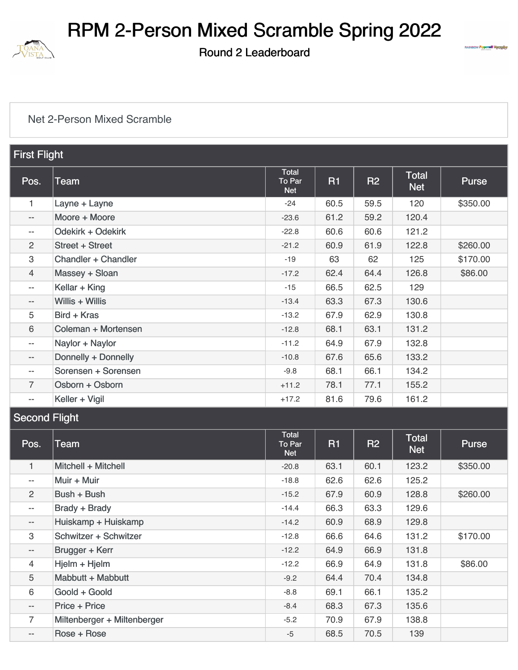

Round 2 Leaderboard



#### [Net 2-Person Mixed Scramble](https://static.golfgenius.com/v2tournaments/8480257580038408832?called_from=&round_index=2)

| <b>First Flight</b>      |                            |                               |                |           |                            |          |
|--------------------------|----------------------------|-------------------------------|----------------|-----------|----------------------------|----------|
| Pos.                     | Team                       | Total<br>To Par<br><b>Net</b> | R <sub>1</sub> | <b>R2</b> | <b>Total</b><br><b>Net</b> | Purse    |
| 1                        | Layne + Layne              | $-24$                         | 60.5           | 59.5      | 120                        | \$350.00 |
| $\overline{\phantom{m}}$ | Moore + Moore              | $-23.6$                       | 61.2           | 59.2      | 120.4                      |          |
| $-\,-$                   | Odekirk + Odekirk          | $-22.8$                       | 60.6           | 60.6      | 121.2                      |          |
| 2                        | <b>Street + Street</b>     | $-21.2$                       | 60.9           | 61.9      | 122.8                      | \$260.00 |
| 3                        | <b>Chandler + Chandler</b> | $-19$                         | 63             | 62        | 125                        | \$170.00 |
| 4                        | Massey + Sloan             | $-17.2$                       | 62.4           | 64.4      | 126.8                      | \$86.00  |
| $\overline{\phantom{a}}$ | Kellar + King              | $-15$                         | 66.5           | 62.5      | 129                        |          |
| $-\,-$                   | Willis + Willis            | $-13.4$                       | 63.3           | 67.3      | 130.6                      |          |
| 5                        | Bird + Kras                | $-13.2$                       | 67.9           | 62.9      | 130.8                      |          |
| 6                        | Coleman + Mortensen        | $-12.8$                       | 68.1           | 63.1      | 131.2                      |          |
| $-\,-$                   | Naylor + Naylor            | $-11.2$                       | 64.9           | 67.9      | 132.8                      |          |
| $\qquad \qquad -$        | Donnelly + Donnelly        | $-10.8$                       | 67.6           | 65.6      | 133.2                      |          |
| $\qquad \qquad -$        | Sorensen + Sorensen        | $-9.8$                        | 68.1           | 66.1      | 134.2                      |          |
| $\overline{7}$           | Osborn + Osborn            | $+11.2$                       | 78.1           | 77.1      | 155.2                      |          |
| $\qquad \qquad -$        | Keller + Vigil             | $+17.2$                       | 81.6           | 79.6      | 161.2                      |          |

### **Second Flight**

| Pos.                     | Team                        | Total<br>To Par<br><b>Net</b> | <b>R1</b> | <b>R2</b> | <b>Total</b><br><b>Net</b> | <b>Purse</b> |
|--------------------------|-----------------------------|-------------------------------|-----------|-----------|----------------------------|--------------|
| $\mathbf{1}$             | Mitchell + Mitchell         | $-20.8$                       | 63.1      | 60.1      | 123.2                      | \$350.00     |
| $\overline{\phantom{a}}$ | Muir + Muir                 | $-18.8$                       | 62.6      | 62.6      | 125.2                      |              |
| $\overline{2}$           | Bush + Bush                 | $-15.2$                       | 67.9      | 60.9      | 128.8                      | \$260.00     |
| $\overline{\phantom{a}}$ | Brady + Brady               | $-14.4$                       | 66.3      | 63.3      | 129.6                      |              |
| $\overline{\phantom{a}}$ | Huiskamp + Huiskamp         | $-14.2$                       | 60.9      | 68.9      | 129.8                      |              |
| 3                        | Schwitzer + Schwitzer       | $-12.8$                       | 66.6      | 64.6      | 131.2                      | \$170.00     |
| $- -$                    | Brugger + Kerr              | $-12.2$                       | 64.9      | 66.9      | 131.8                      |              |
| 4                        | Hjelm + Hjelm               | $-12.2$                       | 66.9      | 64.9      | 131.8                      | \$86.00      |
| 5                        | Mabbutt + Mabbutt           | $-9.2$                        | 64.4      | 70.4      | 134.8                      |              |
| 6                        | Goold + Goold               | $-8.8$                        | 69.1      | 66.1      | 135.2                      |              |
| $- -$                    | Price + Price               | $-8.4$                        | 68.3      | 67.3      | 135.6                      |              |
| $\overline{7}$           | Miltenberger + Miltenberger | $-5.2$                        | 70.9      | 67.9      | 138.8                      |              |
| $\qquad \qquad -$        | Rose + Rose                 | $-5$                          | 68.5      | 70.5      | 139                        |              |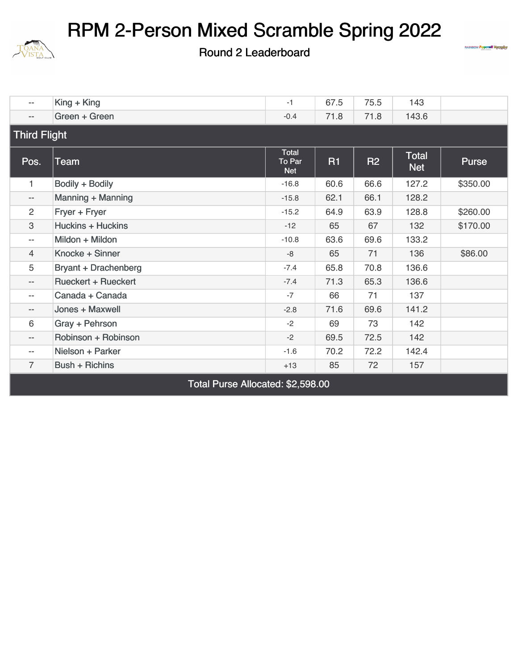

Round 2 Leaderboard



| $\overline{\phantom{a}}$ | $King + King$               | $-1$                          | 67.5      | 75.5      | 143                 |          |  |  |
|--------------------------|-----------------------------|-------------------------------|-----------|-----------|---------------------|----------|--|--|
| $-\,-$                   | Green + Green               | $-0.4$                        | 71.8      | 71.8      | 143.6               |          |  |  |
| <b>Third Flight</b>      |                             |                               |           |           |                     |          |  |  |
| Pos.                     | Team                        | Total<br>To Par<br><b>Net</b> | <b>R1</b> | <b>R2</b> | Total<br><b>Net</b> | Purse    |  |  |
| $\mathbf{1}$             | Bodily + Bodily             | $-16.8$                       | 60.6      | 66.6      | 127.2               | \$350.00 |  |  |
| $\overline{\phantom{m}}$ | Manning + Manning           | $-15.8$                       | 62.1      | 66.1      | 128.2               |          |  |  |
| 2                        | Fryer + Fryer               | $-15.2$                       | 64.9      | 63.9      | 128.8               | \$260.00 |  |  |
| 3                        | <b>Huckins + Huckins</b>    | $-12$                         | 65        | 67        | 132                 | \$170.00 |  |  |
| $\overline{\phantom{a}}$ | Mildon + Mildon             | $-10.8$                       | 63.6      | 69.6      | 133.2               |          |  |  |
| $\overline{4}$           | Knocke + Sinner             | -8                            | 65        | 71        | 136                 | \$86.00  |  |  |
| 5                        | <b>Bryant + Drachenberg</b> | $-7.4$                        | 65.8      | 70.8      | 136.6               |          |  |  |
| $-\,-$                   | <b>Rueckert + Rueckert</b>  | $-7.4$                        | 71.3      | 65.3      | 136.6               |          |  |  |
| $\overline{\phantom{m}}$ | Canada + Canada             | $-7$                          | 66        | 71        | 137                 |          |  |  |
| $-\,-$                   | Jones + Maxwell             | $-2.8$                        | 71.6      | 69.6      | 141.2               |          |  |  |
| 6                        | Gray + Pehrson              | $-2$                          | 69        | 73        | 142                 |          |  |  |
| $-\,-$                   | Robinson + Robinson         | $-2$                          | 69.5      | 72.5      | 142                 |          |  |  |
| $\overline{\phantom{a}}$ | Nielson + Parker            | $-1.6$                        | 70.2      | 72.2      | 142.4               |          |  |  |
| $\overline{7}$           | <b>Bush + Richins</b>       | $+13$                         | 85        | 72        | 157                 |          |  |  |

Total Purse Allocated: \$2,598.00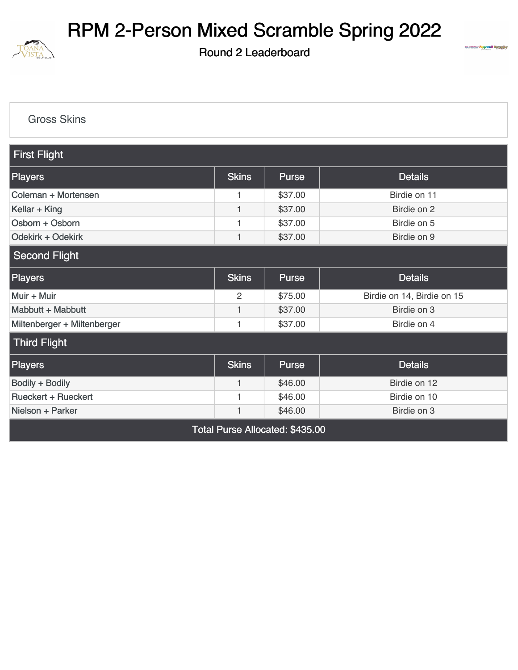

Round 2 Leaderboard



[Gross Skins](https://static.golfgenius.com/v2tournaments/8471602334261103330?called_from=&round_index=2)

| <b>First Flight</b>                             |                |              |                            |  |  |  |  |  |
|-------------------------------------------------|----------------|--------------|----------------------------|--|--|--|--|--|
| <b>Players</b>                                  | <b>Skins</b>   | Purse        | <b>Details</b>             |  |  |  |  |  |
| Coleman + Mortensen                             | 1              | \$37.00      | Birdie on 11               |  |  |  |  |  |
| Kellar + King                                   | $\mathbf{1}$   | \$37.00      | Birdie on 2                |  |  |  |  |  |
| Osborn + Osborn                                 | 1              | \$37.00      | Birdie on 5                |  |  |  |  |  |
| Odekirk + Odekirk                               | 1              | \$37.00      | Birdie on 9                |  |  |  |  |  |
| <b>Second Flight</b>                            |                |              |                            |  |  |  |  |  |
| <b>Players</b>                                  | <b>Skins</b>   | <b>Purse</b> | <b>Details</b>             |  |  |  |  |  |
| Muir + Muir                                     | $\overline{c}$ | \$75.00      | Birdie on 14, Birdie on 15 |  |  |  |  |  |
| Mabbutt + Mabbutt                               | 1              | \$37.00      | Birdie on 3                |  |  |  |  |  |
| Miltenberger + Miltenberger                     | 1              | \$37.00      | Birdie on 4                |  |  |  |  |  |
| <b>Third Flight</b>                             |                |              |                            |  |  |  |  |  |
| <b>Players</b>                                  | <b>Skins</b>   | <b>Purse</b> | <b>Details</b>             |  |  |  |  |  |
| Bodily + Bodily                                 | 1              | \$46.00      | Birdie on 12               |  |  |  |  |  |
| <b>Rueckert + Rueckert</b>                      | 1              | \$46.00      | Birdie on 10               |  |  |  |  |  |
| Nielson + Parker<br>\$46.00<br>Birdie on 3<br>1 |                |              |                            |  |  |  |  |  |
| Total Purse Allocated: \$435.00                 |                |              |                            |  |  |  |  |  |